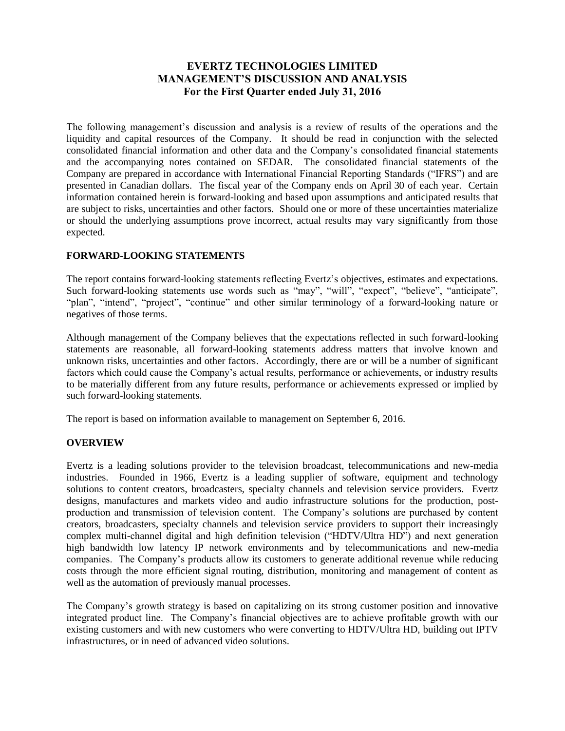# **EVERTZ TECHNOLOGIES LIMITED MANAGEMENT'S DISCUSSION AND ANALYSIS For the First Quarter ended July 31, 2016**

The following management's discussion and analysis is a review of results of the operations and the liquidity and capital resources of the Company. It should be read in conjunction with the selected consolidated financial information and other data and the Company's consolidated financial statements and the accompanying notes contained on SEDAR. The consolidated financial statements of the Company are prepared in accordance with International Financial Reporting Standards ("IFRS") and are presented in Canadian dollars. The fiscal year of the Company ends on April 30 of each year. Certain information contained herein is forward-looking and based upon assumptions and anticipated results that are subject to risks, uncertainties and other factors. Should one or more of these uncertainties materialize or should the underlying assumptions prove incorrect, actual results may vary significantly from those expected.

## **FORWARD-LOOKING STATEMENTS**

The report contains forward-looking statements reflecting Evertz's objectives, estimates and expectations. Such forward-looking statements use words such as "may", "will", "expect", "believe", "anticipate", "plan", "intend", "project", "continue" and other similar terminology of a forward-looking nature or negatives of those terms.

Although management of the Company believes that the expectations reflected in such forward-looking statements are reasonable, all forward-looking statements address matters that involve known and unknown risks, uncertainties and other factors. Accordingly, there are or will be a number of significant factors which could cause the Company's actual results, performance or achievements, or industry results to be materially different from any future results, performance or achievements expressed or implied by such forward-looking statements.

The report is based on information available to management on September 6, 2016.

### **OVERVIEW**

Evertz is a leading solutions provider to the television broadcast, telecommunications and new-media industries. Founded in 1966, Evertz is a leading supplier of software, equipment and technology solutions to content creators, broadcasters, specialty channels and television service providers. Evertz designs, manufactures and markets video and audio infrastructure solutions for the production, postproduction and transmission of television content. The Company's solutions are purchased by content creators, broadcasters, specialty channels and television service providers to support their increasingly complex multi-channel digital and high definition television ("HDTV/Ultra HD") and next generation high bandwidth low latency IP network environments and by telecommunications and new-media companies. The Company's products allow its customers to generate additional revenue while reducing costs through the more efficient signal routing, distribution, monitoring and management of content as well as the automation of previously manual processes.

The Company's growth strategy is based on capitalizing on its strong customer position and innovative integrated product line. The Company's financial objectives are to achieve profitable growth with our existing customers and with new customers who were converting to HDTV/Ultra HD, building out IPTV infrastructures, or in need of advanced video solutions.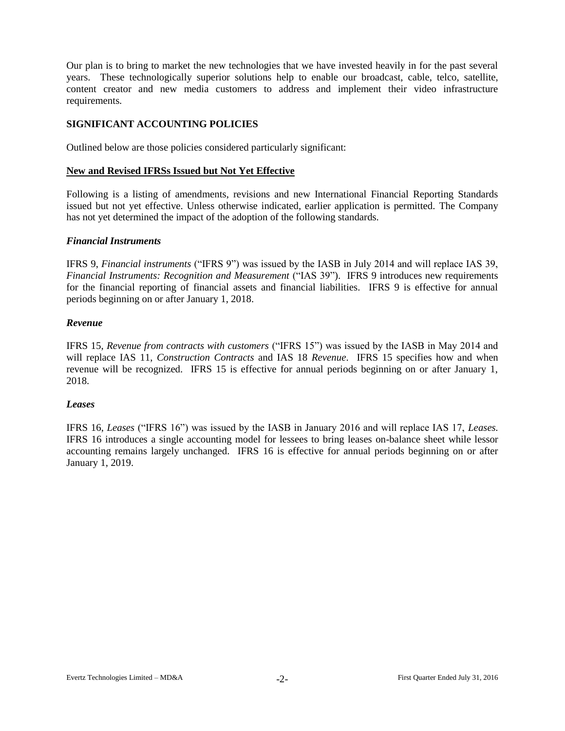Our plan is to bring to market the new technologies that we have invested heavily in for the past several years. These technologically superior solutions help to enable our broadcast, cable, telco, satellite, content creator and new media customers to address and implement their video infrastructure requirements.

### **SIGNIFICANT ACCOUNTING POLICIES**

Outlined below are those policies considered particularly significant:

### **New and Revised IFRSs Issued but Not Yet Effective**

Following is a listing of amendments, revisions and new International Financial Reporting Standards issued but not yet effective. Unless otherwise indicated, earlier application is permitted. The Company has not yet determined the impact of the adoption of the following standards.

#### *Financial Instruments*

IFRS 9, *Financial instruments* ("IFRS 9") was issued by the IASB in July 2014 and will replace IAS 39, *Financial Instruments: Recognition and Measurement* ("IAS 39"). IFRS 9 introduces new requirements for the financial reporting of financial assets and financial liabilities. IFRS 9 is effective for annual periods beginning on or after January 1, 2018.

#### *Revenue*

IFRS 15, *Revenue from contracts with customers* ("IFRS 15") was issued by the IASB in May 2014 and will replace IAS 11, *Construction Contracts* and IAS 18 *Revenue*. IFRS 15 specifies how and when revenue will be recognized. IFRS 15 is effective for annual periods beginning on or after January 1, 2018.

### *Leases*

IFRS 16, *Leases* ("IFRS 16") was issued by the IASB in January 2016 and will replace IAS 17, *Leases.* IFRS 16 introduces a single accounting model for lessees to bring leases on-balance sheet while lessor accounting remains largely unchanged. IFRS 16 is effective for annual periods beginning on or after January 1, 2019.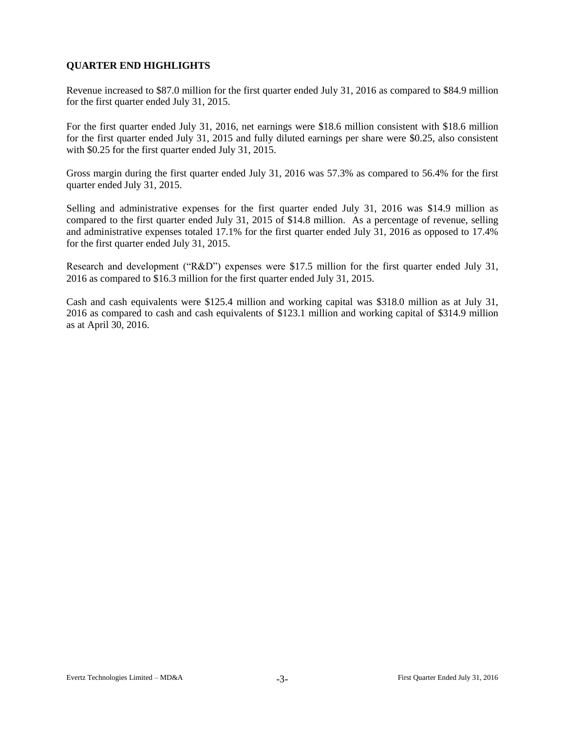# **QUARTER END HIGHLIGHTS**

Revenue increased to \$87.0 million for the first quarter ended July 31, 2016 as compared to \$84.9 million for the first quarter ended July 31, 2015.

For the first quarter ended July 31, 2016, net earnings were \$18.6 million consistent with \$18.6 million for the first quarter ended July 31, 2015 and fully diluted earnings per share were \$0.25, also consistent with \$0.25 for the first quarter ended July 31, 2015.

Gross margin during the first quarter ended July 31, 2016 was 57.3% as compared to 56.4% for the first quarter ended July 31, 2015.

Selling and administrative expenses for the first quarter ended July 31, 2016 was \$14.9 million as compared to the first quarter ended July 31, 2015 of \$14.8 million. As a percentage of revenue, selling and administrative expenses totaled 17.1% for the first quarter ended July 31, 2016 as opposed to 17.4% for the first quarter ended July 31, 2015.

Research and development ("R&D") expenses were \$17.5 million for the first quarter ended July 31, 2016 as compared to \$16.3 million for the first quarter ended July 31, 2015.

Cash and cash equivalents were \$125.4 million and working capital was \$318.0 million as at July 31, 2016 as compared to cash and cash equivalents of \$123.1 million and working capital of \$314.9 million as at April 30, 2016.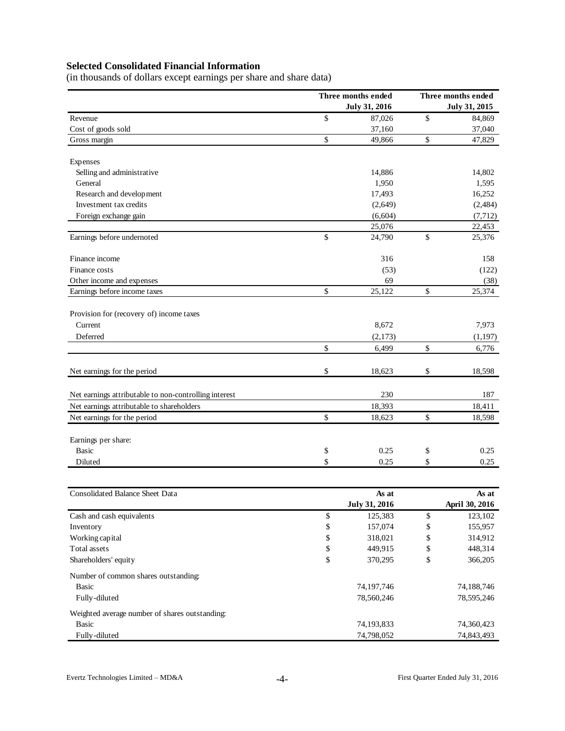# **Selected Consolidated Financial Information**

(in thousands of dollars except earnings per share and share data)

|                                                       | Three months ended   | Three months ended |                      |  |  |  |
|-------------------------------------------------------|----------------------|--------------------|----------------------|--|--|--|
|                                                       | <b>July 31, 2016</b> |                    | <b>July 31, 2015</b> |  |  |  |
| Revenue                                               | \$<br>87,026         | \$                 | 84,869               |  |  |  |
| Cost of goods sold                                    | 37,160               |                    | 37,040               |  |  |  |
| Gross margin                                          | \$<br>49,866         | \$                 | 47,829               |  |  |  |
| Expenses                                              |                      |                    |                      |  |  |  |
| Selling and administrative                            | 14,886               |                    | 14,802               |  |  |  |
| General                                               | 1,950                |                    | 1,595                |  |  |  |
| Research and development                              | 17,493               |                    | 16,252               |  |  |  |
| Investment tax credits                                | (2,649)              |                    | (2, 484)             |  |  |  |
| Foreign exchange gain                                 | (6,604)              |                    | (7, 712)             |  |  |  |
|                                                       | 25,076               |                    | 22,453               |  |  |  |
| Earnings before undernoted                            | \$<br>24,790         | \$                 | 25,376               |  |  |  |
| Finance income                                        | 316                  |                    | 158                  |  |  |  |
| Finance costs                                         | (53)                 |                    | (122)                |  |  |  |
| Other income and expenses                             | 69                   |                    | (38)                 |  |  |  |
| Earnings before income taxes                          | \$<br>25,122         | \$                 | 25,374               |  |  |  |
| Provision for (recovery of) income taxes              |                      |                    |                      |  |  |  |
| Current                                               | 8,672                |                    | 7,973                |  |  |  |
| Deferred                                              | (2,173)              |                    | (1, 197)             |  |  |  |
|                                                       | \$<br>6,499          | \$                 | 6,776                |  |  |  |
| Net earnings for the period                           | \$<br>18,623         | \$                 | 18,598               |  |  |  |
|                                                       |                      |                    |                      |  |  |  |
| Net earnings attributable to non-controlling interest | 230                  |                    | 187                  |  |  |  |
| Net earnings attributable to shareholders             | 18,393               |                    | 18,411               |  |  |  |
| Net earnings for the period                           | \$<br>18,623         | \$                 | 18,598               |  |  |  |
| Earnings per share:                                   |                      |                    |                      |  |  |  |
| <b>Basic</b>                                          | \$<br>0.25           | \$                 | 0.25                 |  |  |  |
| Diluted                                               | \$<br>0.25           | \$                 | 0.25                 |  |  |  |
| <b>Consolidated Balance Sheet Data</b>                | As at                |                    | As at                |  |  |  |
|                                                       | <b>July 31, 2016</b> |                    | April 30, 2016       |  |  |  |
| Cash and cash equivalents                             | \$<br>125,383        | \$                 | 123,102              |  |  |  |
| Inventory                                             | \$<br>157,074        | \$                 | 155,957              |  |  |  |
| Working capital                                       | \$<br>318,021        | \$                 | 314,912              |  |  |  |
| Total assets                                          | \$<br>449,915        | \$                 | 448,314              |  |  |  |
| Shareholders' equity                                  | \$<br>370,295        | \$                 | 366,205              |  |  |  |
| Number of common shares outstanding:                  |                      |                    |                      |  |  |  |
| Basic                                                 | 74,197,746           |                    | 74,188,746           |  |  |  |
| Fully-diluted                                         | 78,560,246           |                    | 78,595,246           |  |  |  |
| Weighted average number of shares outstanding:        |                      |                    |                      |  |  |  |
| <b>Basic</b>                                          | 74,193,833           |                    | 74,360,423           |  |  |  |
| Fully-diluted                                         | 74,798,052           |                    | 74,843,493           |  |  |  |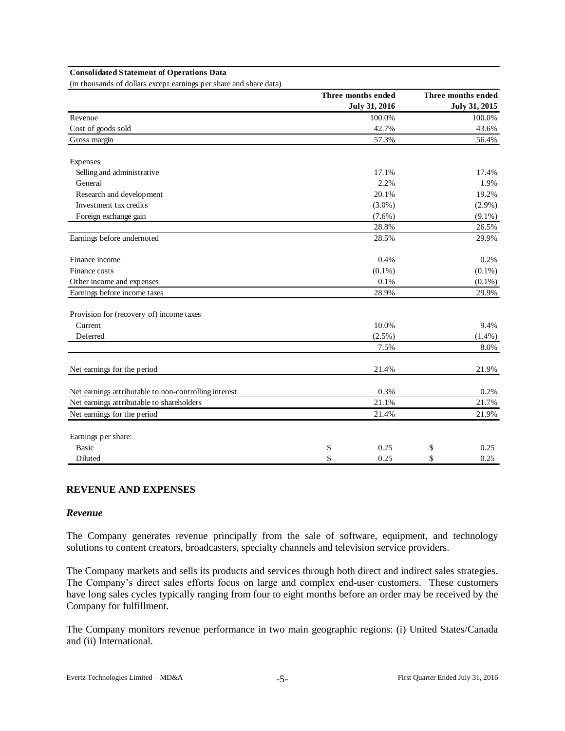#### **Consolidated Statement of Operations Data**

(in thousands of dollars except earnings per share and share data)

|                                                       | Three months ended |                      | Three months ended |
|-------------------------------------------------------|--------------------|----------------------|--------------------|
|                                                       |                    | <b>July 31, 2016</b> | July 31, 2015      |
| Revenue                                               |                    | 100.0%               | 100.0%             |
| Cost of goods sold                                    |                    | 42.7%                | 43.6%              |
| Gross margin                                          |                    | 57.3%                | 56.4%              |
| Expenses                                              |                    |                      |                    |
| Selling and administrative                            |                    | 17.1%                | 17.4%              |
| General                                               |                    | 2.2%                 | 1.9%               |
| Research and development                              |                    | 20.1%                | 19.2%              |
| Investment tax credits                                |                    | $(3.0\%)$            | $(2.9\%)$          |
| Foreign exchange gain                                 |                    | $(7.6\%)$            | $(9.1\%)$          |
|                                                       |                    | 28.8%                | 26.5%              |
| Earnings before undernoted                            |                    | 28.5%                | 29.9%              |
| Finance income                                        |                    | 0.4%                 | 0.2%               |
| Finance costs                                         |                    | $(0.1\%)$            | $(0.1\%)$          |
| Other income and expenses                             |                    | 0.1%                 | $(0.1\%)$          |
| Earnings before income taxes                          |                    | 28.9%                | 29.9%              |
| Provision for (recovery of) income taxes              |                    |                      |                    |
| Current                                               |                    | 10.0%                | 9.4%               |
| Deferred                                              |                    | $(2.5\%)$            | (1.4%)             |
|                                                       |                    | 7.5%                 | 8.0%               |
| Net earnings for the period                           |                    | 21.4%                | 21.9%              |
| Net earnings attributable to non-controlling interest |                    | 0.3%                 | 0.2%               |
| Net earnings attributable to shareholders             |                    | 21.1%                | 21.7%              |
| Net earnings for the period                           |                    | 21.4%                | 21.9%              |
| Earnings per share:                                   |                    |                      |                    |
| <b>Basic</b>                                          | \$                 | 0.25                 | \$<br>0.25         |
| Diluted                                               | \$                 | 0.25                 | \$<br>0.25         |

#### **REVENUE AND EXPENSES**

#### *Revenue*

The Company generates revenue principally from the sale of software, equipment, and technology solutions to content creators, broadcasters, specialty channels and television service providers.

The Company markets and sells its products and services through both direct and indirect sales strategies. The Company's direct sales efforts focus on large and complex end-user customers. These customers have long sales cycles typically ranging from four to eight months before an order may be received by the Company for fulfillment.

The Company monitors revenue performance in two main geographic regions: (i) United States/Canada and (ii) International.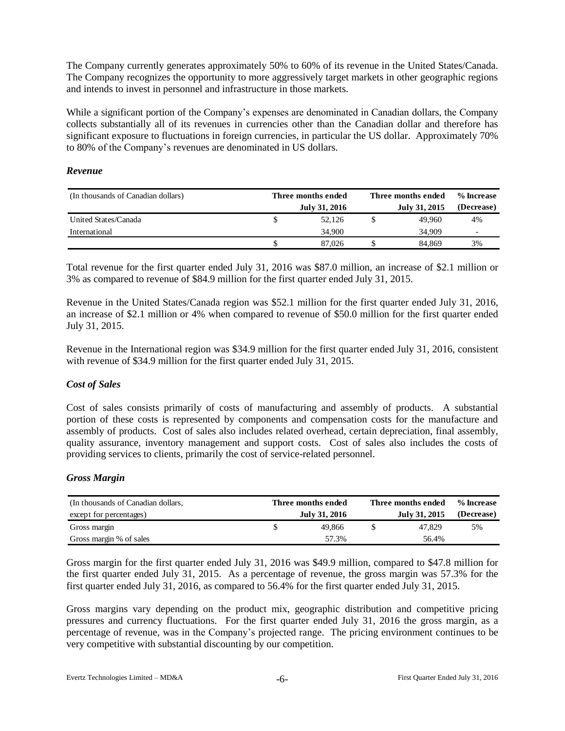The Company currently generates approximately 50% to 60% of its revenue in the United States/Canada. The Company recognizes the opportunity to more aggressively target markets in other geographic regions and intends to invest in personnel and infrastructure in those markets.

While a significant portion of the Company's expenses are denominated in Canadian dollars, the Company collects substantially all of its revenues in currencies other than the Canadian dollar and therefore has significant exposure to fluctuations in foreign currencies, in particular the US dollar. Approximately 70% to 80% of the Company's revenues are denominated in US dollars.

#### *Revenue*

| (In thousands of Canadian dollars) | Three months ended<br>July 31, 2016 | Three months ended<br>July 31, 2015 | % Increase<br>(Decrease) |
|------------------------------------|-------------------------------------|-------------------------------------|--------------------------|
| United States/Canada               | 52.126                              | 49,960                              | 4%                       |
| International                      | 34,900                              | 34,909                              |                          |
|                                    | 87,026                              | 84.869                              | 3%                       |

Total revenue for the first quarter ended July 31, 2016 was \$87.0 million, an increase of \$2.1 million or 3% as compared to revenue of \$84.9 million for the first quarter ended July 31, 2015.

Revenue in the United States/Canada region was \$52.1 million for the first quarter ended July 31, 2016, an increase of \$2.1 million or 4% when compared to revenue of \$50.0 million for the first quarter ended July 31, 2015.

Revenue in the International region was \$34.9 million for the first quarter ended July 31, 2016, consistent with revenue of \$34.9 million for the first quarter ended July 31, 2015.

### *Cost of Sales*

Cost of sales consists primarily of costs of manufacturing and assembly of products. A substantial portion of these costs is represented by components and compensation costs for the manufacture and assembly of products. Cost of sales also includes related overhead, certain depreciation, final assembly, quality assurance, inventory management and support costs. Cost of sales also includes the costs of providing services to clients, primarily the cost of service-related personnel.

### *Gross Margin*

| (In thousands of Canadian dollars, | Three months ended | Three months ended | % Increase    |            |  |
|------------------------------------|--------------------|--------------------|---------------|------------|--|
| except for percentages)            | July 31, 2016      |                    | July 31, 2015 | (Decrease) |  |
| Gross margin                       | 49.866             |                    | 47.829        | 5%         |  |
| Gross margin % of sales            | 57.3%              |                    | 56.4%         |            |  |

Gross margin for the first quarter ended July 31, 2016 was \$49.9 million, compared to \$47.8 million for the first quarter ended July 31, 2015. As a percentage of revenue, the gross margin was 57.3% for the first quarter ended July 31, 2016, as compared to 56.4% for the first quarter ended July 31, 2015.

Gross margins vary depending on the product mix, geographic distribution and competitive pricing pressures and currency fluctuations. For the first quarter ended July 31, 2016 the gross margin, as a percentage of revenue, was in the Company's projected range. The pricing environment continues to be very competitive with substantial discounting by our competition.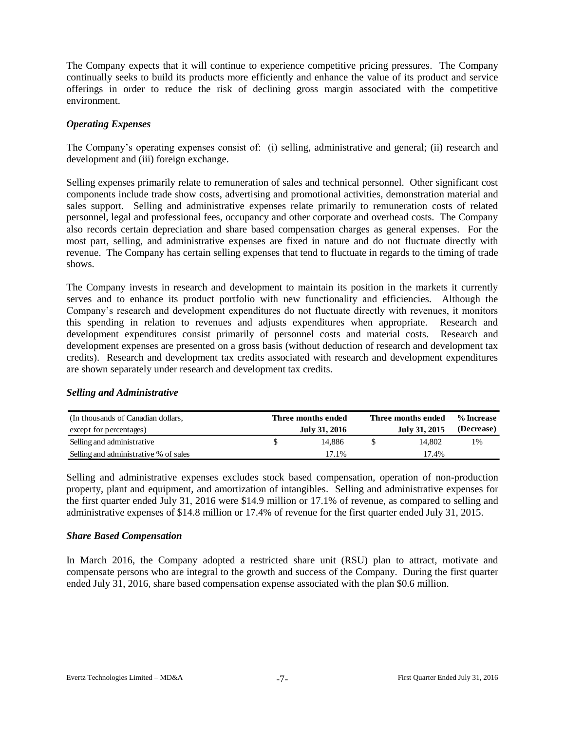The Company expects that it will continue to experience competitive pricing pressures. The Company continually seeks to build its products more efficiently and enhance the value of its product and service offerings in order to reduce the risk of declining gross margin associated with the competitive environment.

### *Operating Expenses*

The Company's operating expenses consist of: (i) selling, administrative and general; (ii) research and development and (iii) foreign exchange.

Selling expenses primarily relate to remuneration of sales and technical personnel. Other significant cost components include trade show costs, advertising and promotional activities, demonstration material and sales support. Selling and administrative expenses relate primarily to remuneration costs of related personnel, legal and professional fees, occupancy and other corporate and overhead costs. The Company also records certain depreciation and share based compensation charges as general expenses. For the most part, selling, and administrative expenses are fixed in nature and do not fluctuate directly with revenue. The Company has certain selling expenses that tend to fluctuate in regards to the timing of trade shows.

The Company invests in research and development to maintain its position in the markets it currently serves and to enhance its product portfolio with new functionality and efficiencies. Although the Company's research and development expenditures do not fluctuate directly with revenues, it monitors this spending in relation to revenues and adjusts expenditures when appropriate. Research and development expenditures consist primarily of personnel costs and material costs. Research and development expenses are presented on a gross basis (without deduction of research and development tax credits). Research and development tax credits associated with research and development expenditures are shown separately under research and development tax credits.

#### *Selling and Administrative*

| (In thousands of Canadian dollars,    | Three months ended | Three months ended | % Increase |
|---------------------------------------|--------------------|--------------------|------------|
| except for percentages)               | July 31, 2016      | July 31, 2015      | (Decrease) |
| Selling and administrative            | 14.886             | 14.802             | 1%         |
| Selling and administrative % of sales | 17.1%              | 17.4%              |            |

Selling and administrative expenses excludes stock based compensation, operation of non-production property, plant and equipment, and amortization of intangibles. Selling and administrative expenses for the first quarter ended July 31, 2016 were \$14.9 million or 17.1% of revenue, as compared to selling and administrative expenses of \$14.8 million or 17.4% of revenue for the first quarter ended July 31, 2015.

#### *Share Based Compensation*

In March 2016, the Company adopted a restricted share unit (RSU) plan to attract, motivate and compensate persons who are integral to the growth and success of the Company. During the first quarter ended July 31, 2016, share based compensation expense associated with the plan \$0.6 million.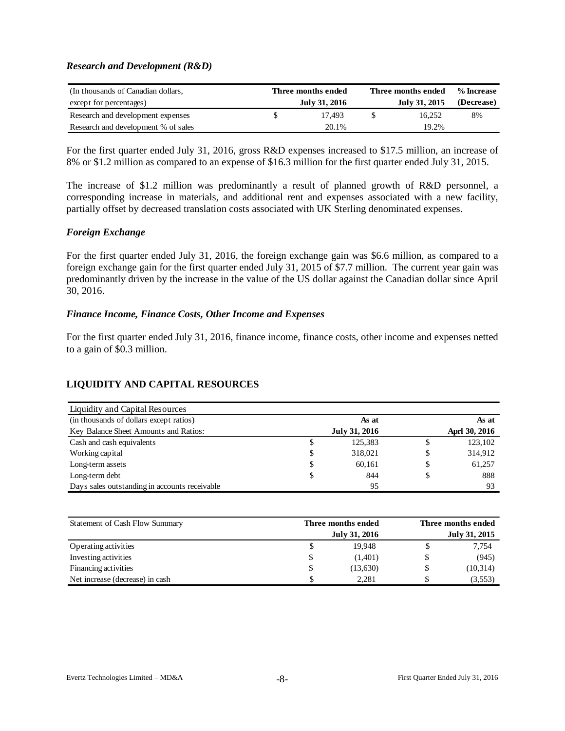#### *Research and Development (R&D)*

| (In thousands of Canadian dollars,  | Three months ended | Three months ended | % Increase |
|-------------------------------------|--------------------|--------------------|------------|
| except for percentages)             | July 31, 2016      | July 31, 2015      | (Decrease) |
| Research and development expenses   | 17.493             | 16.252             | 8%         |
| Research and development % of sales | 20.1%              | 19.2%              |            |

For the first quarter ended July 31, 2016, gross R&D expenses increased to \$17.5 million, an increase of 8% or \$1.2 million as compared to an expense of \$16.3 million for the first quarter ended July 31, 2015.

The increase of \$1.2 million was predominantly a result of planned growth of R&D personnel, a corresponding increase in materials, and additional rent and expenses associated with a new facility, partially offset by decreased translation costs associated with UK Sterling denominated expenses.

#### *Foreign Exchange*

For the first quarter ended July 31, 2016, the foreign exchange gain was \$6.6 million, as compared to a foreign exchange gain for the first quarter ended July 31, 2015 of \$7.7 million. The current year gain was predominantly driven by the increase in the value of the US dollar against the Canadian dollar since April 30, 2016.

#### *Finance Income, Finance Costs, Other Income and Expenses*

For the first quarter ended July 31, 2016, finance income, finance costs, other income and expenses netted to a gain of \$0.3 million.

### **LIQUIDITY AND CAPITAL RESOURCES**

| Liquidity and Capital Resources               |   |               |   |               |
|-----------------------------------------------|---|---------------|---|---------------|
| (in thousands of dollars except ratios)       |   | As at         |   | As at         |
| Key Balance Sheet Amounts and Ratios:         |   | July 31, 2016 |   | Aprl 30, 2016 |
| Cash and cash equivalents                     | D | 125.383       |   | 123,102       |
| Working capital                               | S | 318,021       |   | 314,912       |
| Long-term assets                              | S | 60.161        | S | 61,257        |
| Long-term debt                                | S | 844           | S | 888           |
| Days sales outstanding in accounts receivable |   | 95            |   | 93            |

| Statement of Cash Flow Summary  | Three months ended<br>July 31, 2016 |  |          |  |  |
|---------------------------------|-------------------------------------|--|----------|--|--|
| Operating activities            | 19.948                              |  | 7,754    |  |  |
| Investing activities            | (1,401)                             |  | (945)    |  |  |
| Financing activities            | (13,630)                            |  | (10,314) |  |  |
| Net increase (decrease) in cash | 2.281                               |  | (3,553)  |  |  |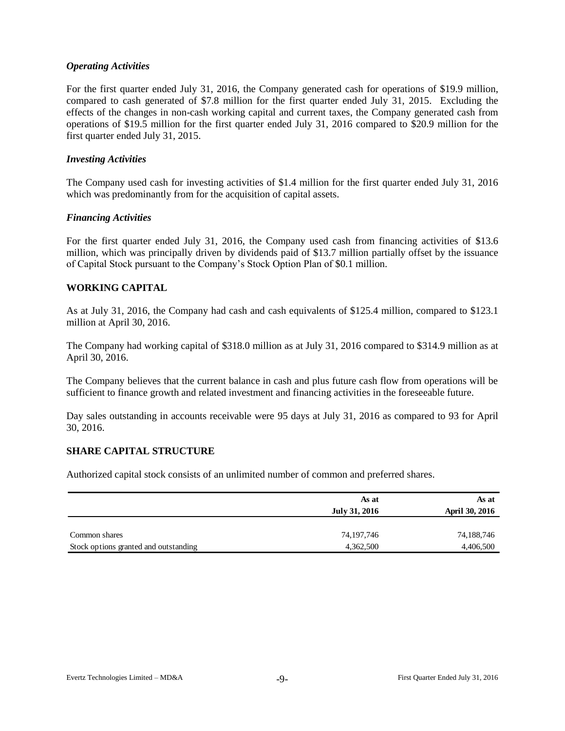### *Operating Activities*

For the first quarter ended July 31, 2016, the Company generated cash for operations of \$19.9 million, compared to cash generated of \$7.8 million for the first quarter ended July 31, 2015. Excluding the effects of the changes in non-cash working capital and current taxes, the Company generated cash from operations of \$19.5 million for the first quarter ended July 31, 2016 compared to \$20.9 million for the first quarter ended July 31, 2015.

#### *Investing Activities*

The Company used cash for investing activities of \$1.4 million for the first quarter ended July 31, 2016 which was predominantly from for the acquisition of capital assets.

#### *Financing Activities*

For the first quarter ended July 31, 2016, the Company used cash from financing activities of \$13.6 million, which was principally driven by dividends paid of \$13.7 million partially offset by the issuance of Capital Stock pursuant to the Company's Stock Option Plan of \$0.1 million.

#### **WORKING CAPITAL**

As at July 31, 2016, the Company had cash and cash equivalents of \$125.4 million, compared to \$123.1 million at April 30, 2016.

The Company had working capital of \$318.0 million as at July 31, 2016 compared to \$314.9 million as at April 30, 2016.

The Company believes that the current balance in cash and plus future cash flow from operations will be sufficient to finance growth and related investment and financing activities in the foreseeable future.

Day sales outstanding in accounts receivable were 95 days at July 31, 2016 as compared to 93 for April 30, 2016.

### **SHARE CAPITAL STRUCTURE**

Authorized capital stock consists of an unlimited number of common and preferred shares.

|                                       | As at         | As at                 |
|---------------------------------------|---------------|-----------------------|
|                                       | July 31, 2016 | <b>April 30, 2016</b> |
|                                       |               |                       |
| Common shares                         | 74,197,746    | 74,188,746            |
| Stock options granted and outstanding | 4,362,500     | 4,406,500             |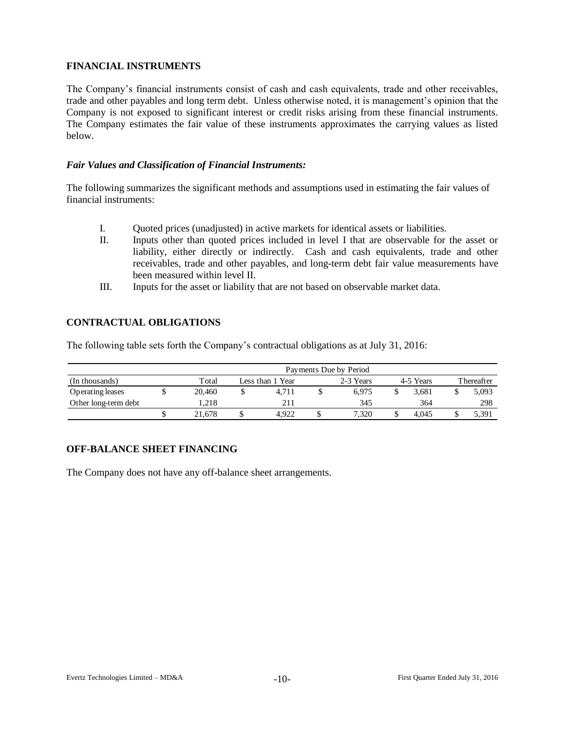## **FINANCIAL INSTRUMENTS**

The Company's financial instruments consist of cash and cash equivalents, trade and other receivables, trade and other payables and long term debt. Unless otherwise noted, it is management's opinion that the Company is not exposed to significant interest or credit risks arising from these financial instruments. The Company estimates the fair value of these instruments approximates the carrying values as listed below.

### *Fair Values and Classification of Financial Instruments:*

The following summarizes the significant methods and assumptions used in estimating the fair values of financial instruments:

- I. Quoted prices (unadjusted) in active markets for identical assets or liabilities.
- II. Inputs other than quoted prices included in level I that are observable for the asset or liability, either directly or indirectly. Cash and cash equivalents, trade and other receivables, trade and other payables, and long-term debt fair value measurements have been measured within level II.
- III. Inputs for the asset or liability that are not based on observable market data.

# **CONTRACTUAL OBLIGATIONS**

The following table sets forth the Company's contractual obligations as at July 31, 2016:

|                      | Payments Due by Period |        |                  |       |           |       |           |       |            |       |  |  |  |
|----------------------|------------------------|--------|------------------|-------|-----------|-------|-----------|-------|------------|-------|--|--|--|
| (In thousands)       |                        | Total  | Less than 1 Year |       | 2-3 Years |       | 4-5 Years |       | Thereafter |       |  |  |  |
| Operating leases     |                        | 20.460 |                  | 4.711 |           | 6.975 |           | 3.681 |            | 5,093 |  |  |  |
| Other long-term debt |                        | 1.218  |                  | 211   |           | 345   |           | 364   |            | 298   |  |  |  |
|                      |                        | 21.678 |                  | 4.922 |           | 7.320 |           | 4.045 |            | 5,391 |  |  |  |

# **OFF-BALANCE SHEET FINANCING**

The Company does not have any off-balance sheet arrangements.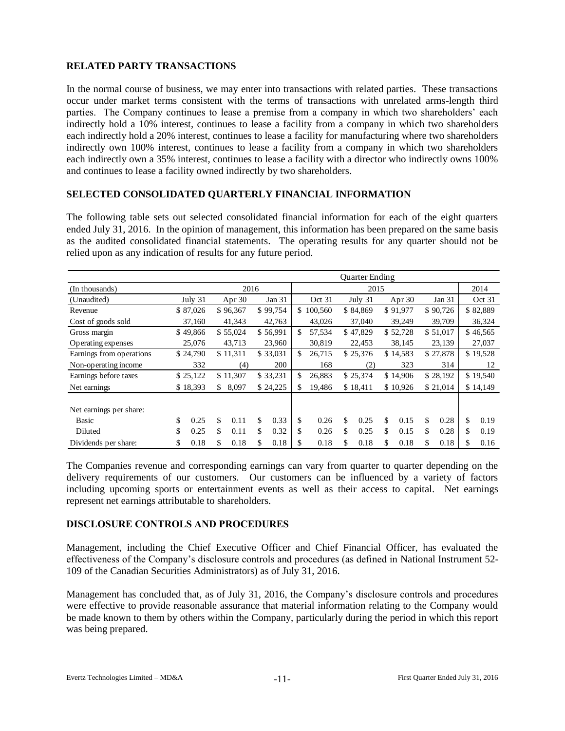# **RELATED PARTY TRANSACTIONS**

In the normal course of business, we may enter into transactions with related parties. These transactions occur under market terms consistent with the terms of transactions with unrelated arms-length third parties. The Company continues to lease a premise from a company in which two shareholders' each indirectly hold a 10% interest, continues to lease a facility from a company in which two shareholders each indirectly hold a 20% interest, continues to lease a facility for manufacturing where two shareholders indirectly own 100% interest, continues to lease a facility from a company in which two shareholders each indirectly own a 35% interest, continues to lease a facility with a director who indirectly owns 100% and continues to lease a facility owned indirectly by two shareholders.

### **SELECTED CONSOLIDATED QUARTERLY FINANCIAL INFORMATION**

The following table sets out selected consolidated financial information for each of the eight quarters ended July 31, 2016. In the opinion of management, this information has been prepared on the same basis as the audited consolidated financial statements. The operating results for any quarter should not be relied upon as any indication of results for any future period.

|                          | Quarter Ending |          |      |          |          |          |     |           |    |          |    |          |          |          |          |          |
|--------------------------|----------------|----------|------|----------|----------|----------|-----|-----------|----|----------|----|----------|----------|----------|----------|----------|
| (In thousands)           |                |          | 2016 |          |          | 2015     |     |           |    |          |    |          |          |          | 2014     |          |
| (Unaudited)              |                | July 31  |      | Apr 30   |          | Jan 31   |     | Oct 31    |    | July 31  |    | Apr 30   |          | Jan 31   |          | Oct 31   |
| Revenue                  |                | \$87,026 |      | \$96,367 |          | \$99,754 |     | \$100,560 |    | \$84,869 |    | \$91,977 |          | \$90,726 |          | \$82,889 |
| Cost of goods sold       |                | 37,160   |      | 41,343   |          | 42,763   |     | 43,026    |    | 37,040   |    | 39,249   |          | 39,709   |          | 36,324   |
| Gross margin             |                | \$49,866 |      | \$55,024 |          | \$56,991 | \$  | 57.534    |    | \$47,829 |    | \$52,728 |          | \$51,017 |          | \$46,565 |
| Operating expenses       |                | 25,076   |      | 43,713   |          | 23,960   |     | 30,819    |    | 22,453   |    | 38,145   |          | 23,139   |          | 27,037   |
| Earnings from operations |                | \$24,790 |      | \$11,311 | \$33,031 |          | \$. | 26,715    |    | \$25,376 |    | \$14,583 | \$27,878 |          | \$19,528 |          |
| Non-operating income     |                | 332      |      | (4)      |          | 200      |     | 168       |    | (2)      |    | 323      |          | 314      |          | 12       |
| Earnings before taxes    |                | \$25,122 |      | \$11,307 |          | \$33,231 | \$  | 26,883    |    | \$25,374 |    | \$14,906 |          | \$28,192 |          | \$19,540 |
| Net earnings             |                | \$18,393 | \$   | 8,097    |          | \$24,225 | \$  | 19,486    |    | \$18,411 |    | \$10,926 |          | \$21,014 |          | \$14,149 |
| Net earnings per share:  |                |          |      |          |          |          |     |           |    |          |    |          |          |          |          |          |
| <b>Basic</b>             | \$             | 0.25     | \$   | 0.11     | \$       | 0.33     | \$  | 0.26      | \$ | 0.25     | \$ | 0.15     | \$       | 0.28     | \$       | 0.19     |
| Diluted                  | \$             | 0.25     | \$   | 0.11     | \$       | 0.32     | \$  | 0.26      | \$ | 0.25     | \$ | 0.15     | \$       | 0.28     | \$       | 0.19     |
| Dividends per share:     | \$             | 0.18     | \$   | 0.18     | \$       | 0.18     | \$  | 0.18      | \$ | 0.18     | \$ | 0.18     | \$       | 0.18     | \$       | 0.16     |

The Companies revenue and corresponding earnings can vary from quarter to quarter depending on the delivery requirements of our customers. Our customers can be influenced by a variety of factors including upcoming sports or entertainment events as well as their access to capital. Net earnings represent net earnings attributable to shareholders.

#### **DISCLOSURE CONTROLS AND PROCEDURES**

Management, including the Chief Executive Officer and Chief Financial Officer, has evaluated the effectiveness of the Company's disclosure controls and procedures (as defined in National Instrument 52- 109 of the Canadian Securities Administrators) as of July 31, 2016.

Management has concluded that, as of July 31, 2016, the Company's disclosure controls and procedures were effective to provide reasonable assurance that material information relating to the Company would be made known to them by others within the Company, particularly during the period in which this report was being prepared.